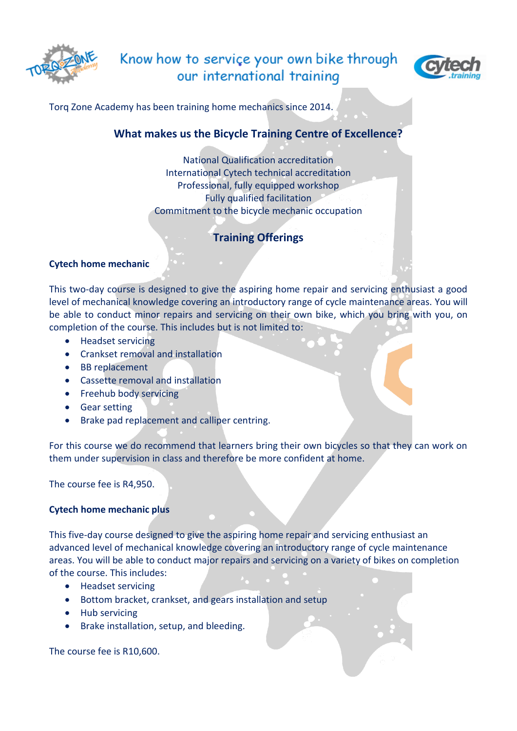

# Know how to service your own bike through our international training



Torq Zone Academy has been training home mechanics since 2014.

## **What makes us the Bicycle Training Centre of Excellence?**

National Qualification accreditation International Cytech technical accreditation Professional, fully equipped workshop Fully qualified facilitation Commitment to the bicycle mechanic occupation

## **Training Offerings**

### **Cytech home mechanic**

This two-day course is designed to give the aspiring home repair and servicing enthusiast a good level of mechanical knowledge covering an introductory range of cycle maintenance areas. You will be able to conduct minor repairs and servicing on their own bike, which you bring with you, on completion of the course. This includes but is not limited to:

- Headset servicing
- Crankset removal and installation
- BB replacement
- Cassette removal and installation
- Freehub body servicing
- Gear setting
- Brake pad replacement and calliper centring.

For this course we do recommend that learners bring their own bicycles so that they can work on them under supervision in class and therefore be more confident at home.

The course fee is R4,950.

### **Cytech home mechanic plus**

This five-day course designed to give the aspiring home repair and servicing enthusiast an advanced level of mechanical knowledge covering an introductory range of cycle maintenance areas. You will be able to conduct major repairs and servicing on a variety of bikes on completion of the course. This includes:

- Headset servicing
- Bottom bracket, crankset, and gears installation and setup
- Hub servicing
- Brake installation, setup, and bleeding.

The course fee is R10,600.